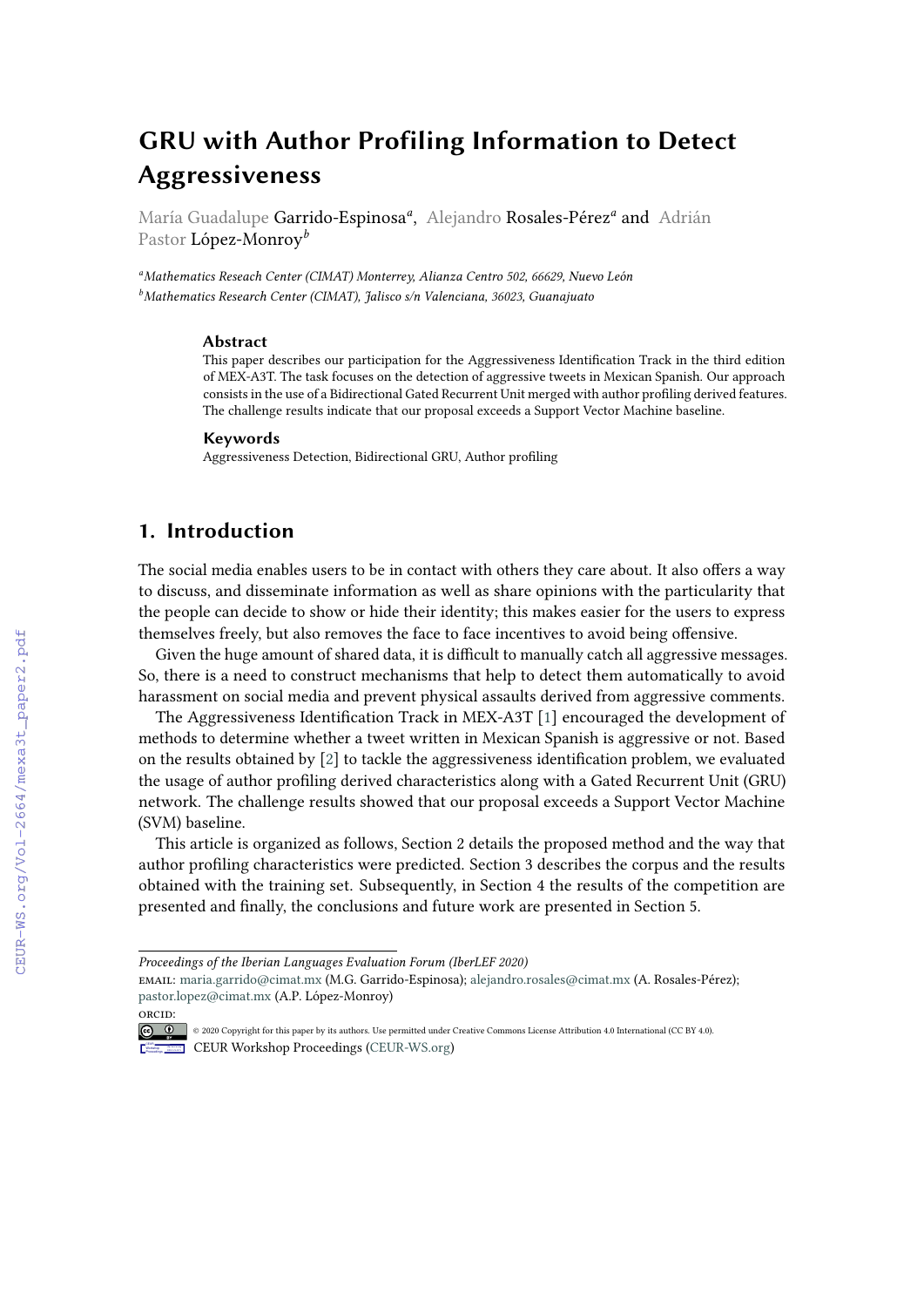# **GRU with Author Profiling Information to Detect Aggressiveness**

María Guadalupe Garrido-Espinosa*<sup>a</sup>* , Alejandro Rosales-Pérez*<sup>a</sup>* and Adrián Pastor López-Monroy*<sup>b</sup>*

*<sup>a</sup>Mathematics Reseach Center (CIMAT) Monterrey, Alianza Centro 502, 66629, Nuevo León <sup>b</sup>Mathematics Research Center (CIMAT), Jalisco s/n Valenciana, 36023, Guanajuato*

#### **Abstract**

This paper describes our participation for the Aggressiveness Identification Track in the third edition of MEX-A3T. The task focuses on the detection of aggressive tweets in Mexican Spanish. Our approach consists in the use of a Bidirectional Gated Recurrent Unit merged with author profiling derived features. The challenge results indicate that our proposal exceeds a Support Vector Machine baseline.

#### **Keywords**

Aggressiveness Detection, Bidirectional GRU, Author profiling

# **1. Introduction**

The social media enables users to be in contact with others they care about. It also offers a way to discuss, and disseminate information as well as share opinions with the particularity that the people can decide to show or hide their identity; this makes easier for the users to express themselves freely, but also removes the face to face incentives to avoid being offensive.

Given the huge amount of shared data, it is difficult to manually catch all aggressive messages. So, there is a need to construct mechanisms that help to detect them automatically to avoid harassment on social media and prevent physical assaults derived from aggressive comments.

The Aggressiveness Identification Track in MEX-A3T [\[1\]](#page--1-0) encouraged the development of methods to determine whether a tweet written in Mexican Spanish is aggressive or not. Based on the results obtained by [\[2\]](#page--1-1) to tackle the aggressiveness identification problem, we evaluated the usage of author profiling derived characteristics along with a Gated Recurrent Unit (GRU) network. The challenge results showed that our proposal exceeds a Support Vector Machine (SVM) baseline.

This article is organized as follows, Section 2 details the proposed method and the way that author profiling characteristics were predicted. Section 3 describes the corpus and the results obtained with the training set. Subsequently, in Section 4 the results of the competition are presented and finally, the conclusions and future work are presented in Section 5.

[orcid:](https://creativecommons.org/licenses/by/4.0)

*Proceedings of the Iberian Languages Evaluation Forum (IberLEF 2020)*

email: [maria.garrido@cimat.mx](mailto:maria.garrido@cimat.mx) (M.G. Garrido-Espinosa); [alejandro.rosales@cimat.mx](mailto:alejandro.rosales@cimat.mx) (A. Rosales-Pérez); [pastor.lopez@cimat.mx](mailto:pastor.lopez@cimat.mx) (A.P. López-Monroy)

<sup>©</sup> 2020 Copyright for this paper by its authors. Use permitted under Creative Commons License Attribution 4.0 International (CC BY 4.0). **CEUR Workshop [Proceedings](http://ceur-ws.org) [\(CEUR-WS.org\)](http://ceur-ws.org)**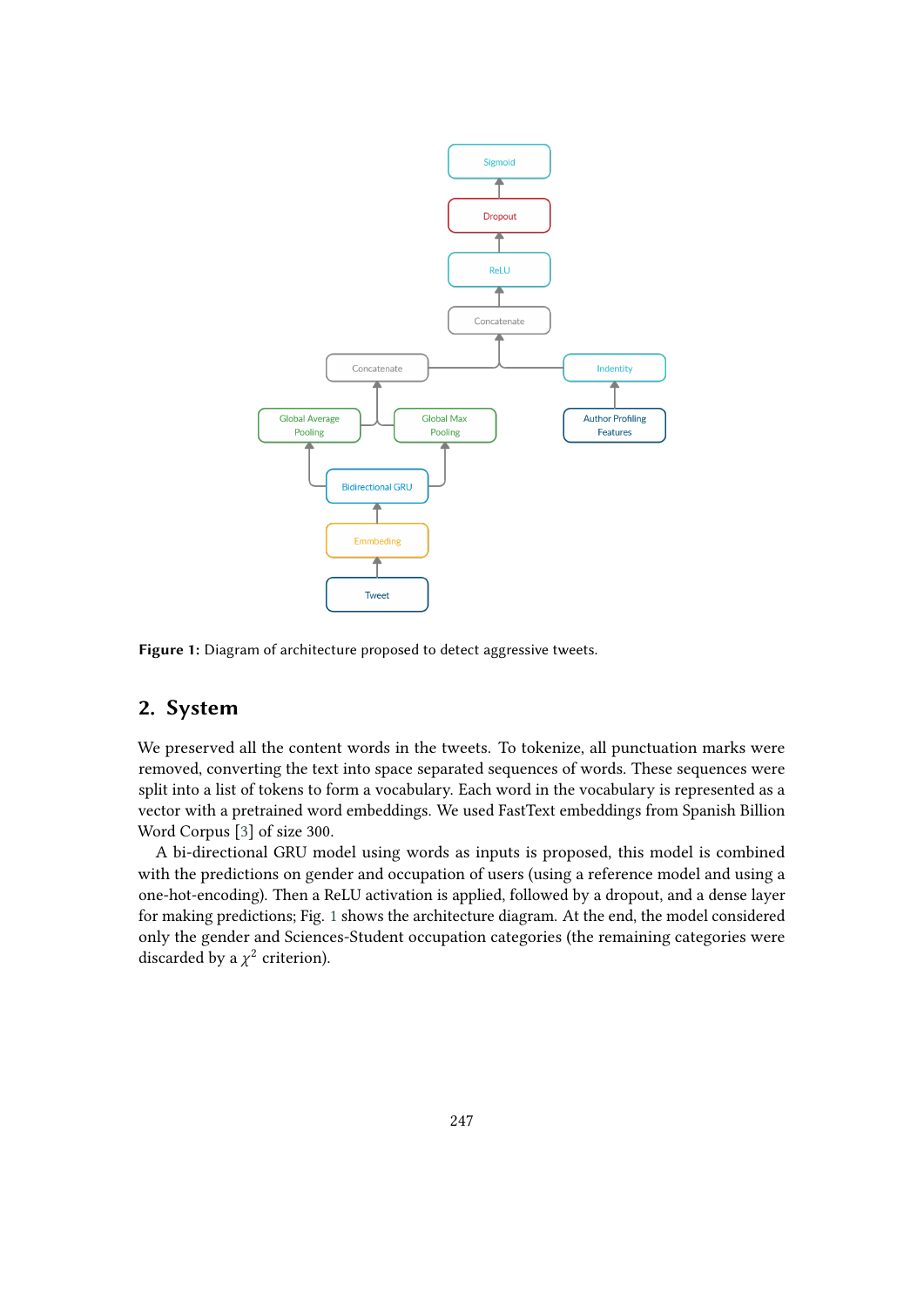

<span id="page-1-0"></span>**Figure 1:** Diagram of architecture proposed to detect aggressive tweets.

# <span id="page-1-1"></span>**2. System**

We preserved all the content words in the tweets. To tokenize, all punctuation marks were removed, converting the text into space separated sequences of words. These sequences were split into a list of tokens to form a vocabulary. Each word in the vocabulary is represented as a vector with a pretrained word embeddings. We used FastText embeddings from Spanish Billion Word Corpus [\[3\]](#page-5-0) of size 300.

A bi-directional GRU model using words as inputs is proposed, this model is combined with the predictions on gender and occupation of users (using a reference model and using a one-hot-encoding). Then a ReLU activation is applied, followed by a dropout, and a dense layer for making predictions; Fig. [1](#page-1-0) shows the architecture diagram. At the end, the model considered only the gender and Sciences-Student occupation categories (the remaining categories were discarded by a  $\chi^2$  criterion).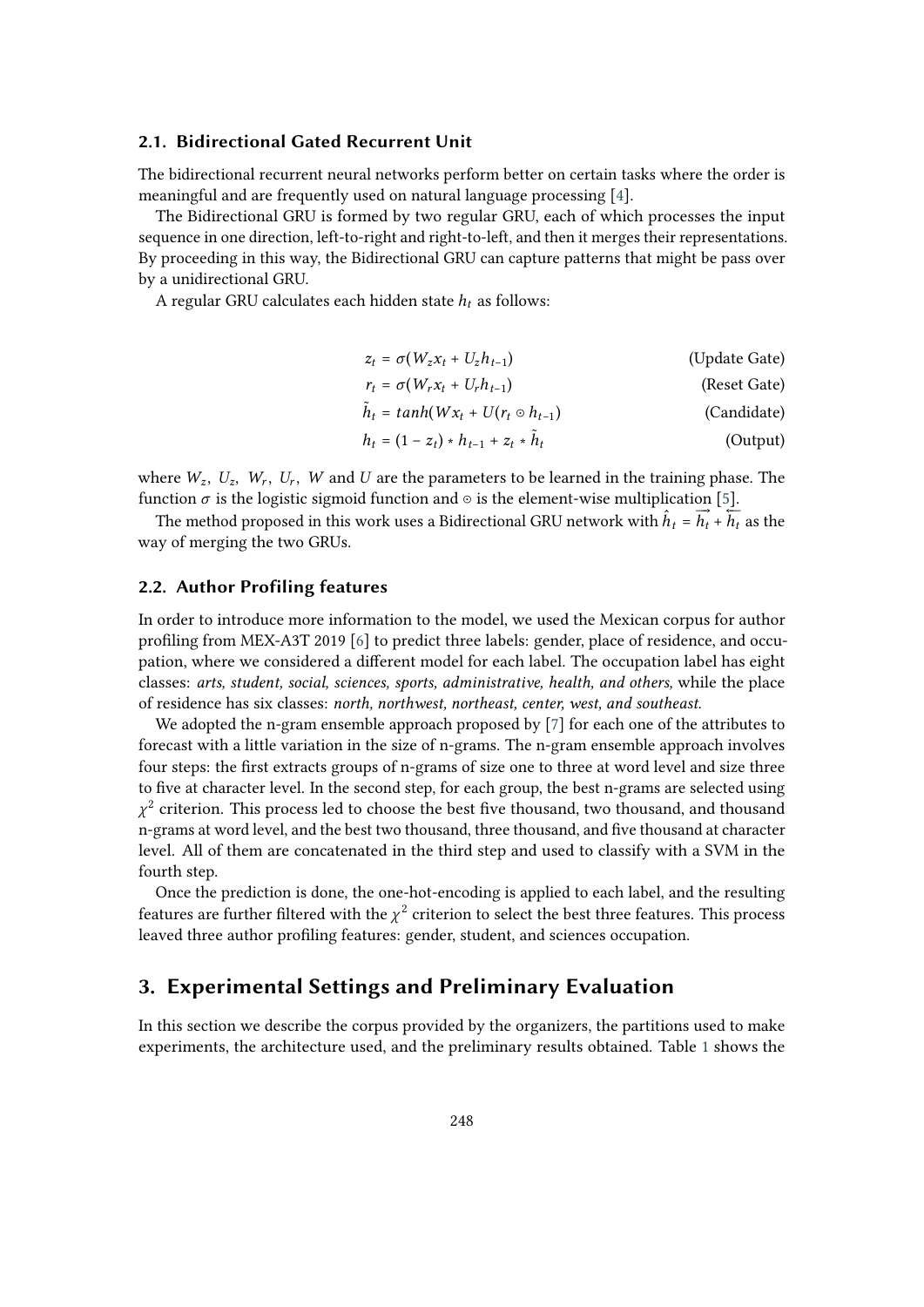### **2.1. Bidirectional Gated Recurrent Unit**

The bidirectional recurrent neural networks perform better on certain tasks where the order is meaningful and are frequently used on natural language processing [\[4\]](#page-5-1).

The Bidirectional GRU is formed by two regular GRU, each of which processes the input sequence in one direction, left-to-right and right-to-left, and then it merges their representations. By proceeding in this way, the Bidirectional GRU can capture patterns that might be pass over by a unidirectional GRU.

A regular GRU calculates each hidden state  $h_t$  as follows:

| $z_t = \sigma(W_z x_t + U_z h_{t-1})$     | (Update Gate) |
|-------------------------------------------|---------------|
| $r_t = \sigma(W_r x_t + U_r h_{t-1})$     | (Reset Gate)  |
| $h_t = tanh(Wx_t + U(r_t \odot h_{t-1}))$ | (Candidate)   |
|                                           |               |

$$
h_t = (1 - z_t) * h_{t-1} + z_t * \tilde{h}_t
$$
 (Output)

where  $W_z$ ,  $U_z$ ,  $W_r$ ,  $U_r$ ,  $W$  and  $U$  are the parameters to be learned in the training phase. The function  $\sigma$  is the logistic sigmoid function and  $\circ$  is the element-wise multiplication [\[5\]](#page-5-2).

The method proposed in this work uses a Bidirectional GRU network with  $\hat{h}_t = \overrightarrow{h_t} + \overleftarrow{h_t}$  as the way of merging the two GRUs.

### **2.2. Author Profiling features**

In order to introduce more information to the model, we used the Mexican corpus for author profiling from MEX-A3T 2019 [\[6\]](#page-5-3) to predict three labels: gender, place of residence, and occupation, where we considered a different model for each label. The occupation label has eight classes: *arts, student, social, sciences, sports, administrative, health, and others,* while the place of residence has six classes: *north, northwest, northeast, center, west, and southeast*.

We adopted the n-gram ensemble approach proposed by [\[7\]](#page-5-4) for each one of the attributes to forecast with a little variation in the size of n-grams. The n-gram ensemble approach involves four steps: the first extracts groups of n-grams of size one to three at word level and size three to five at character level. In the second step, for each group, the best n-grams are selected using  $\chi^2$  criterion. This process led to choose the best five thousand, two thousand, and thousand n-grams at word level, and the best two thousand, three thousand, and five thousand at character level. All of them are concatenated in the third step and used to classify with a SVM in the fourth step.

Once the prediction is done, the one-hot-encoding is applied to each label, and the resulting features are further filtered with the  $\chi^2$  criterion to select the best three features. This process leaved three author profiling features: gender, student, and sciences occupation.

### **3. Experimental Settings and Preliminary Evaluation**

In this section we describe the corpus provided by the organizers, the partitions used to make experiments, the architecture used, and the preliminary results obtained. Table [1](#page-3-0) shows the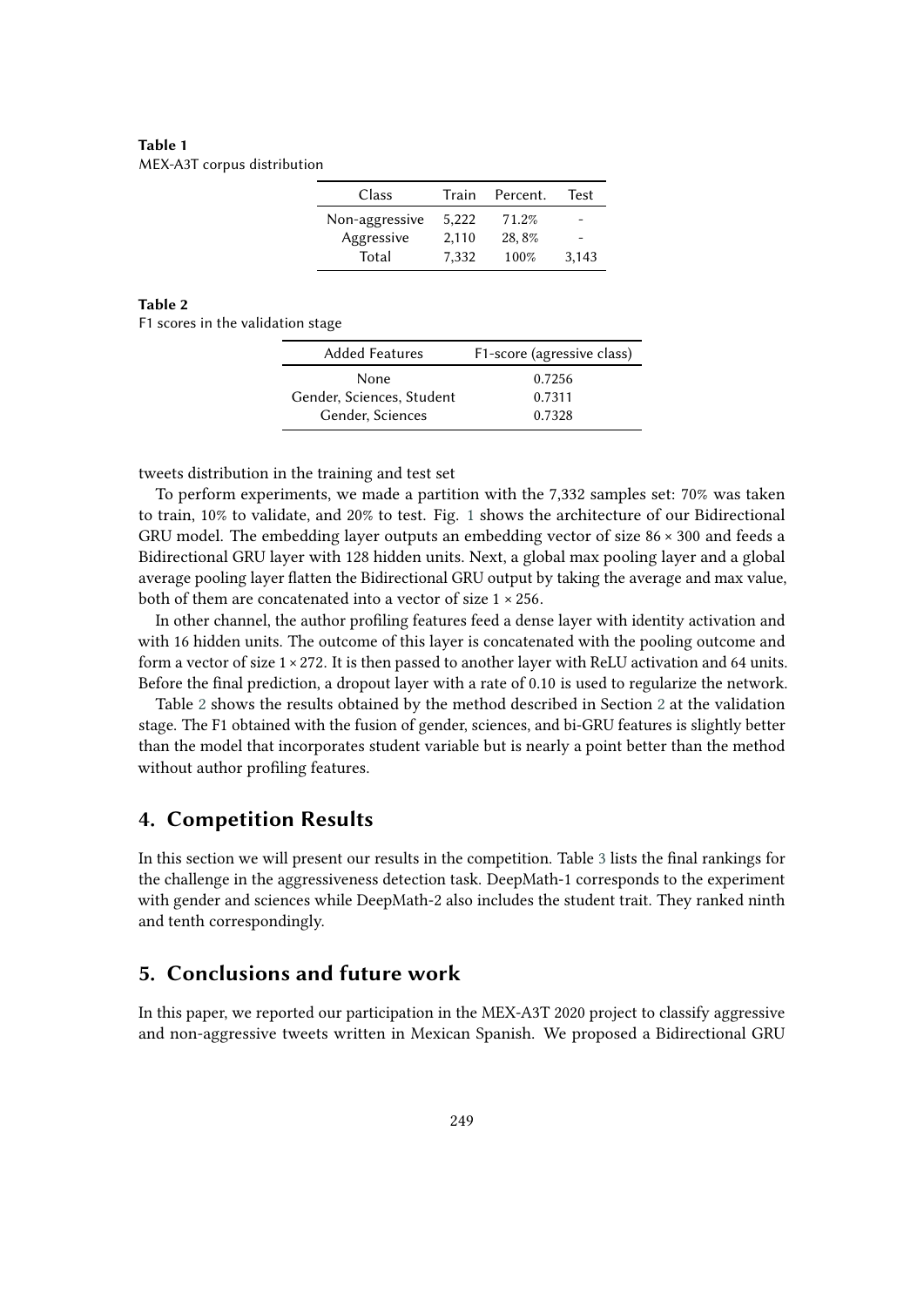<span id="page-3-0"></span>**Table 1** MEX-A3T corpus distribution

| Class          | Train | Percent. | Test  |
|----------------|-------|----------|-------|
| Non-aggressive | 5.222 | 71.2%    |       |
| Aggressive     | 2,110 | 28,8%    |       |
| Total          | 7,332 | 100%     | 3,143 |

### **Table 2**

<span id="page-3-1"></span>F1 scores in the validation stage

| <b>Added Features</b>     | F1-score (agressive class) |
|---------------------------|----------------------------|
| None                      | 0.7256                     |
| Gender, Sciences, Student | 0.7311                     |
| Gender, Sciences          | 0.7328                     |

tweets distribution in the training and test set

To perform experiments, we made a partition with the 7,332 samples set: 70% was taken to train, 10% to validate, and 20% to test. Fig. [1](#page-1-0) shows the architecture of our Bidirectional GRU model. The embedding layer outputs an embedding vector of size 86 × 300 and feeds a Bidirectional GRU layer with 128 hidden units. Next, a global max pooling layer and a global average pooling layer flatten the Bidirectional GRU output by taking the average and max value, both of them are concatenated into a vector of size  $1 \times 256$ .

In other channel, the author profiling features feed a dense layer with identity activation and with 16 hidden units. The outcome of this layer is concatenated with the pooling outcome and form a vector of size  $1 \times 272$ . It is then passed to another layer with ReLU activation and 64 units. Before the final prediction, a dropout layer with a rate of 0.10 is used to regularize the network.

Table [2](#page-3-1) shows the results obtained by the method described in Section [2](#page-1-1) at the validation stage. The F1 obtained with the fusion of gender, sciences, and bi-GRU features is slightly better than the model that incorporates student variable but is nearly a point better than the method without author profiling features.

### **4. Competition Results**

In this section we will present our results in the competition. Table [3](#page-4-0) lists the final rankings for the challenge in the aggressiveness detection task. DeepMath-1 corresponds to the experiment with gender and sciences while DeepMath-2 also includes the student trait. They ranked ninth and tenth correspondingly.

# **5. Conclusions and future work**

In this paper, we reported our participation in the MEX-A3T 2020 project to classify aggressive and non-aggressive tweets written in Mexican Spanish. We proposed a Bidirectional GRU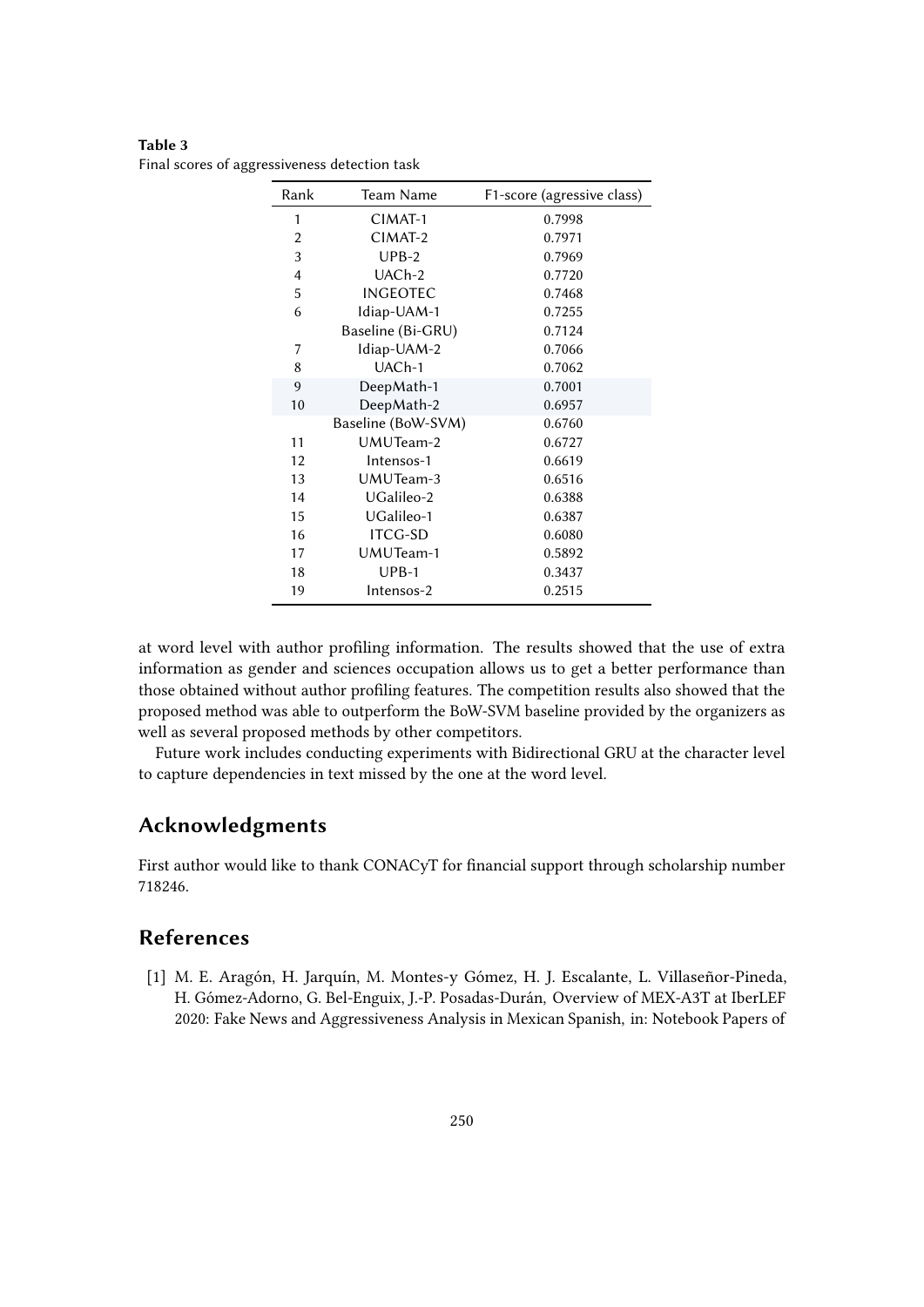<span id="page-4-0"></span>**Table 3** Final scores of aggressiveness detection task

| Rank           | Team Name           | F1-score (agressive class) |
|----------------|---------------------|----------------------------|
| 1              | CIMAT-1             | 0.7998                     |
| $\overline{2}$ | CIMAT-2             | 0.7971                     |
| 3              | $UPB-2$             | 0.7969                     |
| $\overline{4}$ | UAC <sub>h</sub> -2 | 0.7720                     |
| 5              | <b>INGEOTEC</b>     | 0.7468                     |
| 6              | Idiap-UAM-1         | 0.7255                     |
|                | Baseline (Bi-GRU)   | 0.7124                     |
| 7              | Idiap-UAM-2         | 0.7066                     |
| 8              | UAC <sub>h-1</sub>  | 0.7062                     |
| 9              | DeepMath-1          | 0.7001                     |
| 10             | DeepMath-2          | 0.6957                     |
|                | Baseline (BoW-SVM)  | 0.6760                     |
| 11             | UMUTeam-2           | 0.6727                     |
| 12             | Intensos-1          | 0.6619                     |
| 13             | UMUTeam-3           | 0.6516                     |
| 14             | UGalileo-2          | 0.6388                     |
| 15             | UGalileo-1          | 0.6387                     |
| 16             | <b>ITCG-SD</b>      | 0.6080                     |
| 17             | UMUTeam-1           | 0.5892                     |
| 18             | $UPB-1$             | 0.3437                     |
| 19             | Intensos-2          | 0.2515                     |

at word level with author profiling information. The results showed that the use of extra information as gender and sciences occupation allows us to get a better performance than those obtained without author profiling features. The competition results also showed that the proposed method was able to outperform the BoW-SVM baseline provided by the organizers as well as several proposed methods by other competitors.

Future work includes conducting experiments with Bidirectional GRU at the character level to capture dependencies in text missed by the one at the word level.

# **Acknowledgments**

First author would like to thank CONACyT for financial support through scholarship number 718246.

# **References**

[1] M. E. Aragón, H. Jarquín, M. Montes-y Gómez, H. J. Escalante, L. Villaseñor-Pineda, H. Gómez-Adorno, G. Bel-Enguix, J.-P. Posadas-Durán, Overview of MEX-A3T at IberLEF 2020: Fake News and Aggressiveness Analysis in Mexican Spanish, in: Notebook Papers of